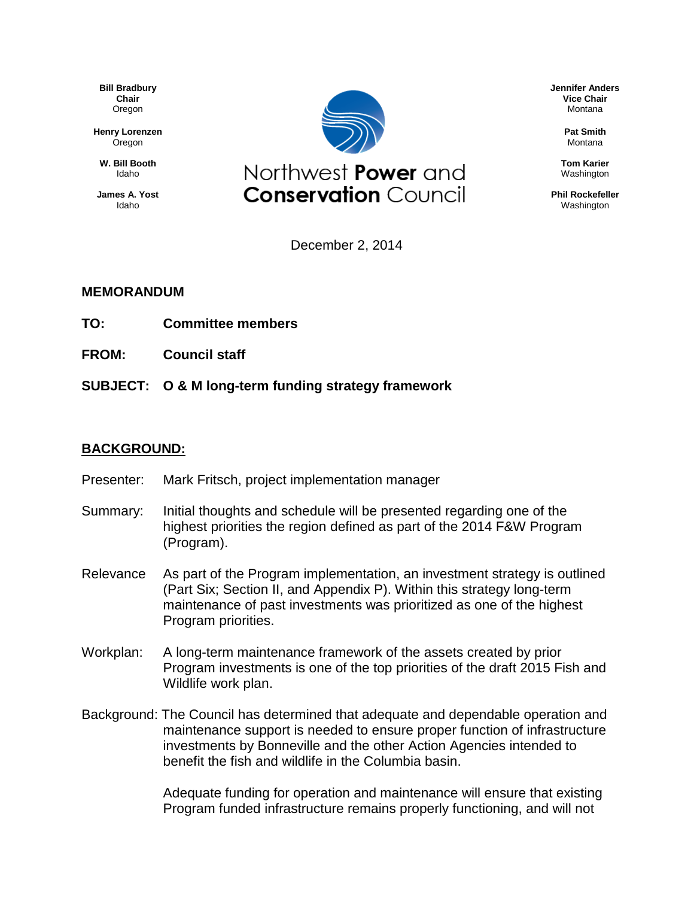**Bill Bradbury Chair** Oregon

**Henry Lorenzen** Oregon

**W. Bill Booth** Idaho

**James A. Yost** Idaho



December 2, 2014

## **MEMORANDUM**

- **TO: Committee members**
- **FROM: Council staff**
- **SUBJECT: O & M long-term funding strategy framework**

## **BACKGROUND:**

- Presenter: Mark Fritsch, project implementation manager
- Summary: Initial thoughts and schedule will be presented regarding one of the highest priorities the region defined as part of the 2014 F&W Program (Program).
- Relevance As part of the Program implementation, an investment strategy is outlined (Part Six; Section II, and Appendix P). Within this strategy long-term maintenance of past investments was prioritized as one of the highest Program priorities.
- Workplan: A long-term maintenance framework of the assets created by prior Program investments is one of the top priorities of the draft 2015 Fish and Wildlife work plan.
- Background: The Council has determined that adequate and dependable operation and maintenance support is needed to ensure proper function of infrastructure investments by Bonneville and the other Action Agencies intended to benefit the fish and wildlife in the Columbia basin.

Adequate funding for operation and maintenance will ensure that existing Program funded infrastructure remains properly functioning, and will not

**Jennifer Anders Vice Chair** Montana

> **Pat Smith** Montana

**Tom Karier** Washington

**Phil Rockefeller** Washington